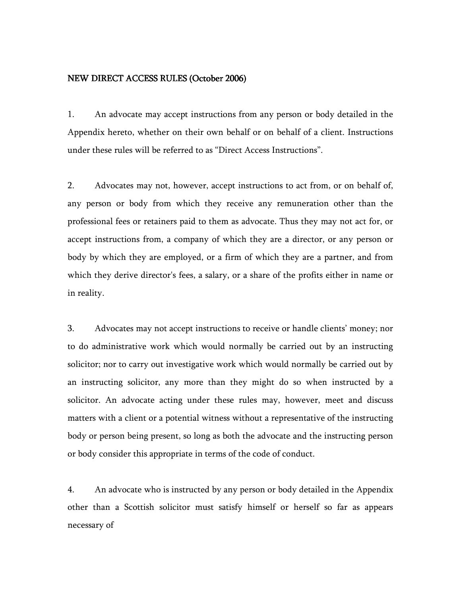#### NEW DIRECT ACCESS RULES (October 2006)

1. An advocate may accept instructions from any person or body detailed in the Appendix hereto, whether on their own behalf or on behalf of a client. Instructions under these rules will be referred to as "Direct Access Instructions".

2. Advocates may not, however, accept instructions to act from, or on behalf of, any person or body from which they receive any remuneration other than the professional fees or retainers paid to them as advocate. Thus they may not act for, or accept instructions from, a company of which they are a director, or any person or body by which they are employed, or a firm of which they are a partner, and from which they derive director's fees, a salary, or a share of the profits either in name or in reality.

3. Advocates may not accept instructions to receive or handle clients' money; nor to do administrative work which would normally be carried out by an instructing solicitor; nor to carry out investigative work which would normally be carried out by an instructing solicitor, any more than they might do so when instructed by a solicitor. An advocate acting under these rules may, however, meet and discuss matters with a client or a potential witness without a representative of the instructing body or person being present, so long as both the advocate and the instructing person or body consider this appropriate in terms of the code of conduct.

4. An advocate who is instructed by any person or body detailed in the Appendix other than a Scottish solicitor must satisfy himself or herself so far as appears necessary of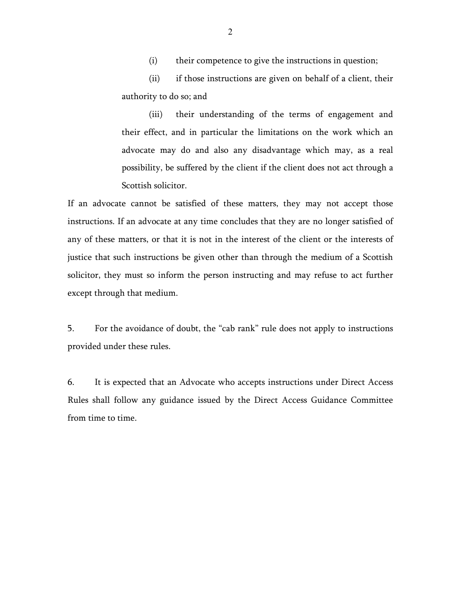(i) their competence to give the instructions in question;

(ii) if those instructions are given on behalf of a client, their authority to do so; and

(iii) their understanding of the terms of engagement and their effect, and in particular the limitations on the work which an advocate may do and also any disadvantage which may, as a real possibility, be suffered by the client if the client does not act through a Scottish solicitor.

If an advocate cannot be satisfied of these matters, they may not accept those instructions. If an advocate at any time concludes that they are no longer satisfied of any of these matters, or that it is not in the interest of the client or the interests of justice that such instructions be given other than through the medium of a Scottish solicitor, they must so inform the person instructing and may refuse to act further except through that medium.

5. For the avoidance of doubt, the "cab rank" rule does not apply to instructions provided under these rules.

6. It is expected that an Advocate who accepts instructions under Direct Access Rules shall follow any guidance issued by the Direct Access Guidance Committee from time to time.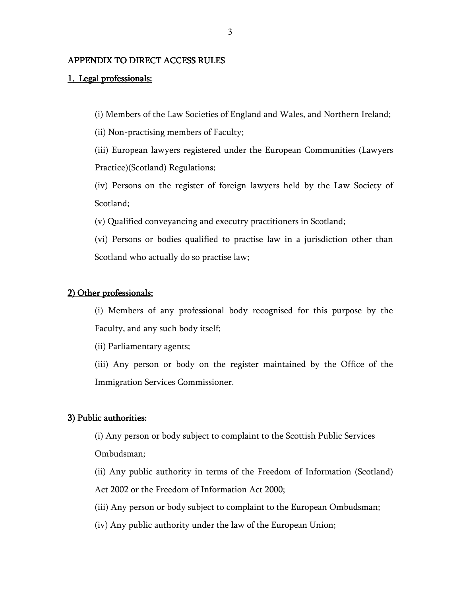# APPENDIX TO DIRECT ACCESS RULES

## 1. Legal professionals:

(i) Members of the Law Societies of England and Wales, and Northern Ireland;

(ii) Non-practising members of Faculty;

(iii) European lawyers registered under the European Communities (Lawyers Practice)(Scotland) Regulations;

(iv) Persons on the register of foreign lawyers held by the Law Society of Scotland;

(v) Qualified conveyancing and executry practitioners in Scotland;

(vi) Persons or bodies qualified to practise law in a jurisdiction other than Scotland who actually do so practise law;

#### 2) Other professionals:

(i) Members of any professional body recognised for this purpose by the Faculty, and any such body itself;

(ii) Parliamentary agents;

(iii) Any person or body on the register maintained by the Office of the Immigration Services Commissioner.

#### 3) Public authorities:

(i) Any person or body subject to complaint to the Scottish Public Services Ombudsman;

(ii) Any public authority in terms of the Freedom of Information (Scotland)

Act 2002 or the Freedom of Information Act 2000;

(iii) Any person or body subject to complaint to the European Ombudsman;

(iv) Any public authority under the law of the European Union;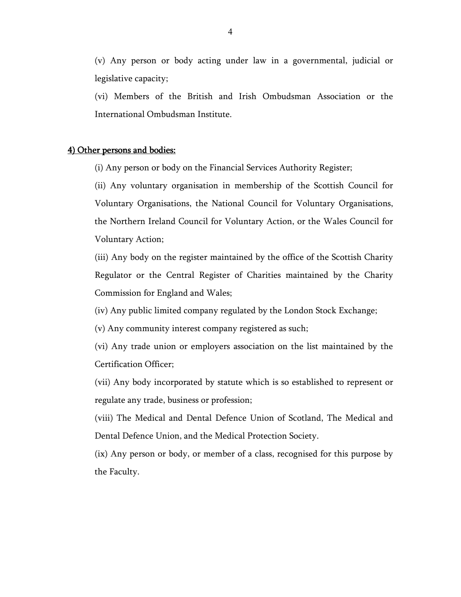(v) Any person or body acting under law in a governmental, judicial or legislative capacity;

(vi) Members of the British and Irish Ombudsman Association or the International Ombudsman Institute.

### 4) Other persons and bodies:

(i) Any person or body on the Financial Services Authority Register;

(ii) Any voluntary organisation in membership of the Scottish Council for Voluntary Organisations, the National Council for Voluntary Organisations, the Northern Ireland Council for Voluntary Action, or the Wales Council for Voluntary Action;

(iii) Any body on the register maintained by the office of the Scottish Charity Regulator or the Central Register of Charities maintained by the Charity Commission for England and Wales;

(iv) Any public limited company regulated by the London Stock Exchange;

(v) Any community interest company registered as such;

(vi) Any trade union or employers association on the list maintained by the Certification Officer;

(vii) Any body incorporated by statute which is so established to represent or regulate any trade, business or profession;

(viii) The Medical and Dental Defence Union of Scotland, The Medical and Dental Defence Union, and the Medical Protection Society.

(ix) Any person or body, or member of a class, recognised for this purpose by the Faculty.